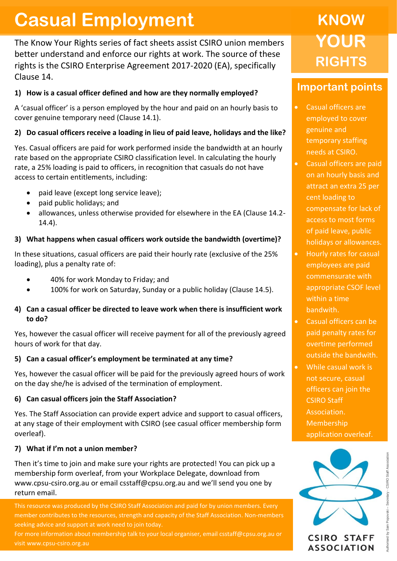# **Casual Employment**

The Know Your Rights series of fact sheets assist CSIRO union members better understand and enforce our rights at work. The source of these rights is the CSIRO Enterprise Agreement 2017-2020 (EA), specifically Clause 14.

### **1) How is a casual officer defined and how are they normally employed?**

A 'casual officer' is a person employed by the hour and paid on an hourly basis to cover genuine temporary need (Clause 14.1).

#### **2) Do casual officers receive a loading in lieu of paid leave, holidays and the like?**

Yes. Casual officers are paid for work performed inside the bandwidth at an hourly rate based on the appropriate CSIRO classification level. In calculating the hourly rate, a 25% loading is paid to officers, in recognition that casuals do not have access to certain entitlements, including:

- paid leave (except long service leave);
- paid public holidays; and
- allowances, unless otherwise provided for elsewhere in the EA (Clause 14.2- 14.4).

#### **3) What happens when casual officers work outside the bandwidth (overtime)?**

In these situations, casual officers are paid their hourly rate (exclusive of the 25% loading), plus a penalty rate of:

- 40% for work Monday to Friday; and
- 100% for work on Saturday, Sunday or a public holiday (Clause 14.5).

#### **4) Can a casual officer be directed to leave work when there is insufficient work to do?**

Yes, however the casual officer will receive payment for all of the previously agreed hours of work for that day.

#### **5) Can a casual officer's employment be terminated at any time?**

Yes, however the casual officer will be paid for the previously agreed hours of work on the day she/he is advised of the termination of employment.

#### **6) Can casual officers join the Staff Association?**

Yes. The Staff Association can provide expert advice and support to casual officers, at any stage of their employment with CSIRO (see casual officer membership form overleaf).

#### **7) What if I'm not a union member?**

Then it's time to join and make sure your rights are protected! You can pick up a membership form overleaf, from your Workplace Delegate, download from www.cpsu-csiro.org.au or email csstaff@cpsu.org.au and we'll send you one by return email.

This resource was produced by the CSIRO Staff Association and paid for by union members. Every member contributes to the resources, strength and capacity of the Staff Association. Non-members  seeking advice and support at work need to join today.

For more information about membership talk to your local organiser, email csstaff@cpsu.org.au or visit www.cpsu-csiro.org.au

## **KNOW YOUR RIGHTS**

## **Important points**

- Casual officers are employed to cover genuine and temporary staffing needs at CSIRO.
- Casual officers are paid on an hourly basis and attract an extra 25 per cent loading to compensate for lack of access to most forms of paid leave, public holidays or allowances.
- Hourly rates for casual employees are paid commensurate with appropriate CSOF level within a time bandwith.
- Casual officers can be paid penalty rates for overtime performed outside the bandwith.
- While casual work is not secure, casual officers can join the CSIRO Staff Association. Membership application overleaf.